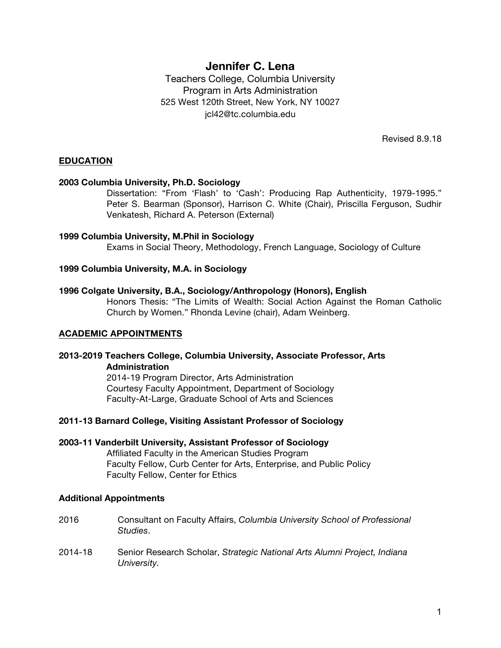# **Jennifer C. Lena**

Teachers College, Columbia University Program in Arts Administration 525 West 120th Street, New York, NY 10027 jcl42@tc.columbia.edu

Revised 8.9.18

### **EDUCATION**

#### **2003 Columbia University, Ph.D. Sociology**

Dissertation: "From 'Flash' to 'Cash': Producing Rap Authenticity, 1979-1995." Peter S. Bearman (Sponsor), Harrison C. White (Chair), Priscilla Ferguson, Sudhir Venkatesh, Richard A. Peterson (External)

### **1999 Columbia University, M.Phil in Sociology**

Exams in Social Theory, Methodology, French Language, Sociology of Culture

#### **1999 Columbia University, M.A. in Sociology**

#### **1996 Colgate University, B.A., Sociology/Anthropology (Honors), English**

Honors Thesis: "The Limits of Wealth: Social Action Against the Roman Catholic Church by Women." Rhonda Levine (chair), Adam Weinberg.

# **ACADEMIC APPOINTMENTS**

### **2013-2019 Teachers College, Columbia University, Associate Professor, Arts Administration**

2014-19 Program Director, Arts Administration Courtesy Faculty Appointment, Department of Sociology Faculty-At-Large, Graduate School of Arts and Sciences

#### **2011-13 Barnard College, Visiting Assistant Professor of Sociology**

**2003-11 Vanderbilt University, Assistant Professor of Sociology**

Affiliated Faculty in the American Studies Program Faculty Fellow, Curb Center for Arts, Enterprise, and Public Policy Faculty Fellow, Center for Ethics

#### **Additional Appointments**

- 2016 Consultant on Faculty Affairs, *Columbia University School of Professional Studies*.
- 2014-18 Senior Research Scholar, *Strategic National Arts Alumni Project, Indiana University.*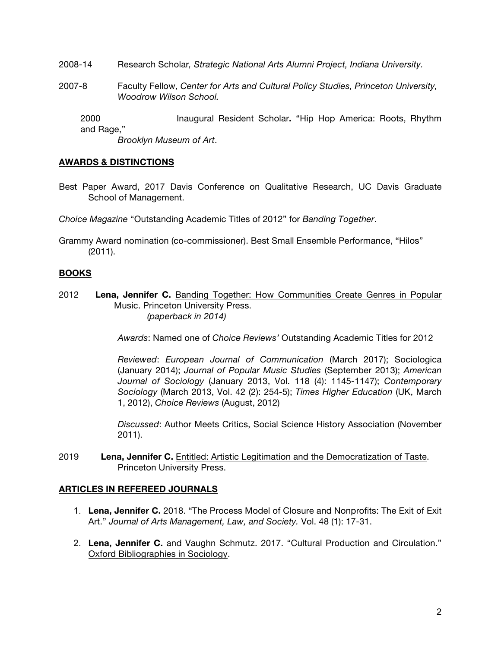- 2008-14 Research Scholar*, Strategic National Arts Alumni Project, Indiana University.*
- 2007-8 Faculty Fellow, *Center for Arts and Cultural Policy Studies, Princeton University, Woodrow Wilson School.*

2000 Inaugural Resident Scholar**.** "Hip Hop America: Roots, Rhythm and Rage,"

*Brooklyn Museum of Art*.

### **AWARDS & DISTINCTIONS**

Best Paper Award, 2017 Davis Conference on Qualitative Research, UC Davis Graduate School of Management.

*Choice Magazine* "Outstanding Academic Titles of 2012" for *Banding Together*.

Grammy Award nomination (co-commissioner). Best Small Ensemble Performance, "Hilos" (2011).

# **BOOKS**

2012 **Lena, Jennifer C.** Banding Together: How Communities Create Genres in Popular Music. Princeton University Press.  *(paperback in 2014)*

*Awards*: Named one of *Choice Reviews'* Outstanding Academic Titles for 2012

*Reviewed*: *European Journal of Communication* (March 2017); Sociologica (January 2014); *Journal of Popular Music Studies* (September 2013); *American Journal of Sociology* (January 2013, Vol. 118 (4): 1145-1147); *Contemporary Sociology* (March 2013, Vol. 42 (2): 254-5); *Times Higher Education* (UK, March 1, 2012), *Choice Reviews* (August, 2012)

*Discussed*: Author Meets Critics, Social Science History Association (November 2011).

2019 **Lena, Jennifer C.** Entitled: Artistic Legitimation and the Democratization of Taste. Princeton University Press.

# **ARTICLES IN REFEREED JOURNALS**

- 1. **Lena, Jennifer C.** 2018. "The Process Model of Closure and Nonprofits: The Exit of Exit Art." *Journal of Arts Management, Law, and Society.* Vol. 48 (1): 17-31.
- 2. **Lena, Jennifer C.** and Vaughn Schmutz. 2017. "Cultural Production and Circulation." Oxford Bibliographies in Sociology.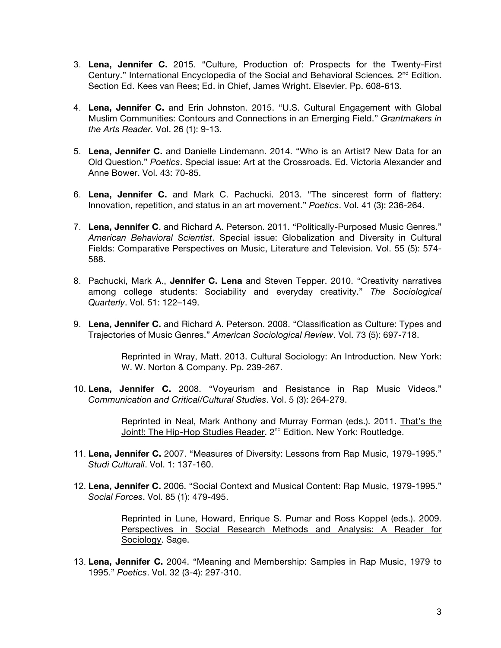- 3. **Lena, Jennifer C.** 2015. "Culture, Production of: Prospects for the Twenty-First Century." International Encyclopedia of the Social and Behavioral Sciences*.* 2nd Edition. Section Ed. Kees van Rees; Ed. in Chief, James Wright. Elsevier. Pp. 608-613.
- 4. **Lena, Jennifer C.** and Erin Johnston. 2015. "U.S. Cultural Engagement with Global Muslim Communities: Contours and Connections in an Emerging Field." *Grantmakers in the Arts Reader.* Vol. 26 (1): 9-13.
- 5. **Lena, Jennifer C.** and Danielle Lindemann. 2014. "Who is an Artist? New Data for an Old Question." *Poetics*. Special issue: Art at the Crossroads. Ed. Victoria Alexander and Anne Bower. Vol. 43: 70-85.
- 6. **Lena, Jennifer C.** and Mark C. Pachucki. 2013. "The sincerest form of flattery: Innovation, repetition, and status in an art movement." *Poetics*. Vol. 41 (3): 236-264.
- 7. **Lena, Jennifer C**. and Richard A. Peterson. 2011. "Politically-Purposed Music Genres." *American Behavioral Scientist*. Special issue: Globalization and Diversity in Cultural Fields: Comparative Perspectives on Music, Literature and Television. Vol. 55 (5): 574- 588.
- 8. Pachucki, Mark A., **Jennifer C. Lena** and Steven Tepper. 2010. "Creativity narratives among college students: Sociability and everyday creativity." *The Sociological Quarterly*. Vol. 51: 122–149.
- 9. **Lena, Jennifer C.** and Richard A. Peterson. 2008. "Classification as Culture: Types and Trajectories of Music Genres." *American Sociological Review*. Vol. 73 (5): 697-718.

Reprinted in Wray, Matt. 2013. Cultural Sociology: An Introduction. New York: W. W. Norton & Company. Pp. 239-267.

10. **Lena, Jennifer C.** 2008. "Voyeurism and Resistance in Rap Music Videos." *Communication and Critical/Cultural Studies*. Vol. 5 (3): 264-279.

> Reprinted in Neal, Mark Anthony and Murray Forman (eds.). 2011. That's the Joint!: The Hip-Hop Studies Reader. 2<sup>nd</sup> Edition. New York: Routledge.

- 11. **Lena, Jennifer C.** 2007. "Measures of Diversity: Lessons from Rap Music, 1979-1995." *Studi Culturali*. Vol. 1: 137-160.
- 12. **Lena, Jennifer C.** 2006. "Social Context and Musical Content: Rap Music, 1979-1995." *Social Forces*. Vol. 85 (1): 479-495.

Reprinted in Lune, Howard, Enrique S. Pumar and Ross Koppel (eds.). 2009. Perspectives in Social Research Methods and Analysis: A Reader for Sociology. Sage.

13. **Lena, Jennifer C.** 2004. "Meaning and Membership: Samples in Rap Music, 1979 to 1995." *Poetics*. Vol. 32 (3-4): 297-310.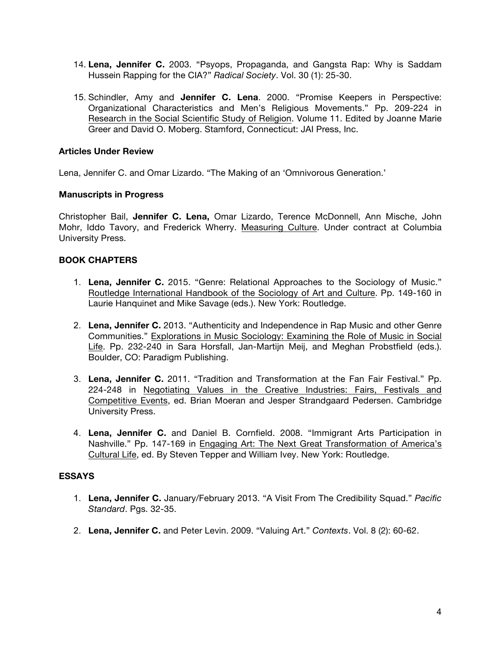- 14. **Lena, Jennifer C.** 2003. "Psyops, Propaganda, and Gangsta Rap: Why is Saddam Hussein Rapping for the CIA?" *Radical Society*. Vol. 30 (1): 25-30.
- 15. Schindler, Amy and **Jennifer C. Lena**. 2000. "Promise Keepers in Perspective: Organizational Characteristics and Men's Religious Movements." Pp. 209-224 in Research in the Social Scientific Study of Religion. Volume 11. Edited by Joanne Marie Greer and David O. Moberg. Stamford, Connecticut: JAI Press, Inc.

# **Articles Under Review**

Lena, Jennifer C. and Omar Lizardo. "The Making of an 'Omnivorous Generation.'

### **Manuscripts in Progress**

Christopher Bail, **Jennifer C. Lena,** Omar Lizardo, Terence McDonnell, Ann Mische, John Mohr, Iddo Tavory, and Frederick Wherry. Measuring Culture. Under contract at Columbia University Press.

# **BOOK CHAPTERS**

- 1. **Lena, Jennifer C.** 2015. "Genre: Relational Approaches to the Sociology of Music." Routledge International Handbook of the Sociology of Art and Culture. Pp. 149-160 in Laurie Hanquinet and Mike Savage (eds.). New York: Routledge.
- 2. **Lena, Jennifer C.** 2013. "Authenticity and Independence in Rap Music and other Genre Communities." Explorations in Music Sociology: Examining the Role of Music in Social Life. Pp. 232-240 in Sara Horsfall, Jan-Martijn Meij, and Meghan Probstfield (eds.). Boulder, CO: Paradigm Publishing.
- 3. **Lena, Jennifer C.** 2011. "Tradition and Transformation at the Fan Fair Festival." Pp. 224-248 in Negotiating Values in the Creative Industries: Fairs, Festivals and Competitive Events, ed. Brian Moeran and Jesper Strandgaard Pedersen. Cambridge University Press.
- 4. **Lena, Jennifer C.** and Daniel B. Cornfield. 2008. "Immigrant Arts Participation in Nashville." Pp. 147-169 in Engaging Art: The Next Great Transformation of America's Cultural Life, ed. By Steven Tepper and William Ivey. New York: Routledge.

# **ESSAYS**

- 1. **Lena, Jennifer C.** January/February 2013. "A Visit From The Credibility Squad." *Pacific Standard*. Pgs. 32-35.
- 2. **Lena, Jennifer C.** and Peter Levin. 2009. "Valuing Art." *Contexts*. Vol. 8 (2): 60-62.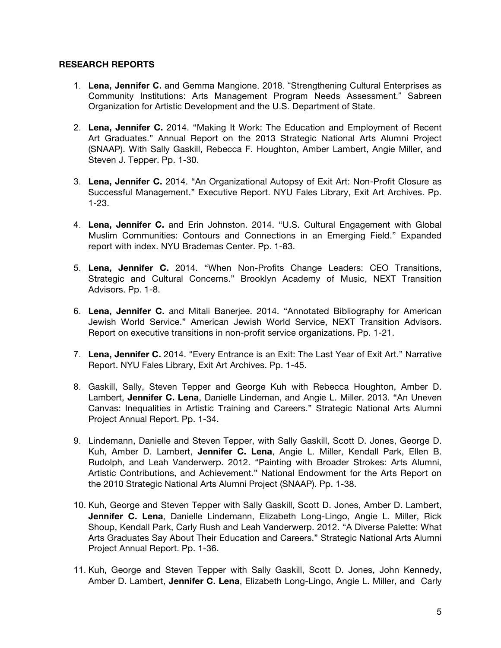### **RESEARCH REPORTS**

- 1. **Lena, Jennifer C.** and Gemma Mangione. 2018. "Strengthening Cultural Enterprises as Community Institutions: Arts Management Program Needs Assessment." Sabreen Organization for Artistic Development and the U.S. Department of State.
- 2. **Lena, Jennifer C.** 2014. "Making It Work: The Education and Employment of Recent Art Graduates." Annual Report on the 2013 Strategic National Arts Alumni Project (SNAAP). With Sally Gaskill, Rebecca F. Houghton, Amber Lambert, Angie Miller, and Steven J. Tepper. Pp. 1-30.
- 3. **Lena, Jennifer C.** 2014. "An Organizational Autopsy of Exit Art: Non-Profit Closure as Successful Management." Executive Report. NYU Fales Library, Exit Art Archives. Pp. 1-23.
- 4. **Lena, Jennifer C.** and Erin Johnston. 2014. "U.S. Cultural Engagement with Global Muslim Communities: Contours and Connections in an Emerging Field." Expanded report with index. NYU Brademas Center. Pp. 1-83.
- 5. **Lena, Jennifer C.** 2014. "When Non-Profits Change Leaders: CEO Transitions, Strategic and Cultural Concerns." Brooklyn Academy of Music, NEXT Transition Advisors. Pp. 1-8.
- 6. **Lena, Jennifer C.** and Mitali Banerjee. 2014. "Annotated Bibliography for American Jewish World Service." American Jewish World Service, NEXT Transition Advisors. Report on executive transitions in non-profit service organizations. Pp. 1-21.
- 7. **Lena, Jennifer C.** 2014. "Every Entrance is an Exit: The Last Year of Exit Art." Narrative Report. NYU Fales Library, Exit Art Archives. Pp. 1-45.
- 8. Gaskill, Sally, Steven Tepper and George Kuh with Rebecca Houghton, Amber D. Lambert, **Jennifer C. Lena**, Danielle Lindeman, and Angie L. Miller. 2013. "An Uneven Canvas: Inequalities in Artistic Training and Careers." Strategic National Arts Alumni Project Annual Report. Pp. 1-34.
- 9. Lindemann, Danielle and Steven Tepper, with Sally Gaskill, Scott D. Jones, George D. Kuh, Amber D. Lambert, **Jennifer C. Lena**, Angie L. Miller, Kendall Park, Ellen B. Rudolph, and Leah Vanderwerp. 2012. "Painting with Broader Strokes: Arts Alumni, Artistic Contributions, and Achievement." National Endowment for the Arts Report on the 2010 Strategic National Arts Alumni Project (SNAAP). Pp. 1-38.
- 10. Kuh, George and Steven Tepper with Sally Gaskill, Scott D. Jones, Amber D. Lambert, **Jennifer C. Lena**, Danielle Lindemann, Elizabeth Long-Lingo, Angie L. Miller, Rick Shoup, Kendall Park, Carly Rush and Leah Vanderwerp. 2012. "A Diverse Palette: What Arts Graduates Say About Their Education and Careers." Strategic National Arts Alumni Project Annual Report. Pp. 1-36.
- 11. Kuh, George and Steven Tepper with Sally Gaskill, Scott D. Jones, John Kennedy, Amber D. Lambert, **Jennifer C. Lena**, Elizabeth Long-Lingo, Angie L. Miller, and Carly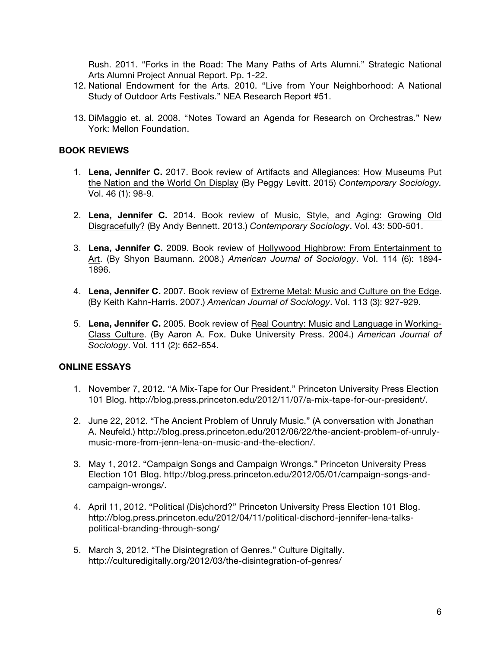Rush. 2011. "Forks in the Road: The Many Paths of Arts Alumni." Strategic National Arts Alumni Project Annual Report. Pp. 1-22.

- 12. National Endowment for the Arts. 2010. "Live from Your Neighborhood: A National Study of Outdoor Arts Festivals." NEA Research Report #51.
- 13. DiMaggio et. al. 2008. "Notes Toward an Agenda for Research on Orchestras." New York: Mellon Foundation.

# **BOOK REVIEWS**

- 1. **Lena, Jennifer C.** 2017. Book review of Artifacts and Allegiances: How Museums Put the Nation and the World On Display (By Peggy Levitt. 2015) *Contemporary Sociology.*  Vol. 46 (1): 98-9.
- 2. **Lena, Jennifer C.** 2014. Book review of Music, Style, and Aging: Growing Old Disgracefully? (By Andy Bennett. 2013.) *Contemporary Sociology*. Vol. 43: 500-501.
- 3. **Lena, Jennifer C.** 2009. Book review of Hollywood Highbrow: From Entertainment to Art. (By Shyon Baumann. 2008.) *American Journal of Sociology*. Vol. 114 (6): 1894- 1896.
- 4. **Lena, Jennifer C.** 2007. Book review of Extreme Metal: Music and Culture on the Edge. (By Keith Kahn-Harris. 2007.) *American Journal of Sociology*. Vol. 113 (3): 927-929.
- 5. **Lena, Jennifer C.** 2005. Book review of Real Country: Music and Language in Working-Class Culture. (By Aaron A. Fox. Duke University Press. 2004.) *American Journal of Sociology*. Vol. 111 (2): 652-654.

# **ONLINE ESSAYS**

- 1. November 7, 2012. "A Mix-Tape for Our President." Princeton University Press Election 101 Blog. http://blog.press.princeton.edu/2012/11/07/a-mix-tape-for-our-president/.
- 2. June 22, 2012. "The Ancient Problem of Unruly Music." (A conversation with Jonathan A. Neufeld.) http://blog.press.princeton.edu/2012/06/22/the-ancient-problem-of-unrulymusic-more-from-jenn-lena-on-music-and-the-election/.
- 3. May 1, 2012. "Campaign Songs and Campaign Wrongs." Princeton University Press Election 101 Blog. http://blog.press.princeton.edu/2012/05/01/campaign-songs-andcampaign-wrongs/.
- 4. April 11, 2012. "Political (Dis)chord?" Princeton University Press Election 101 Blog. http://blog.press.princeton.edu/2012/04/11/political-dischord-jennifer-lena-talkspolitical-branding-through-song/
- 5. March 3, 2012. "The Disintegration of Genres." Culture Digitally. http://culturedigitally.org/2012/03/the-disintegration-of-genres/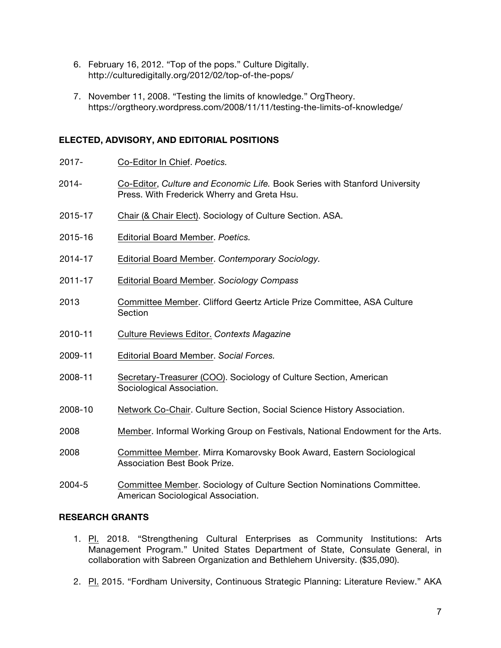- 6. February 16, 2012. "Top of the pops." Culture Digitally. http://culturedigitally.org/2012/02/top-of-the-pops/
- 7. November 11, 2008. "Testing the limits of knowledge." OrgTheory. https://orgtheory.wordpress.com/2008/11/11/testing-the-limits-of-knowledge/

### **ELECTED, ADVISORY, AND EDITORIAL POSITIONS**

- 2017- Co-Editor In Chief. *Poetics.*
- 2014- Co-Editor, *Culture and Economic Life.* Book Series with Stanford University Press. With Frederick Wherry and Greta Hsu.
- 2015-17 Chair (& Chair Elect). Sociology of Culture Section. ASA.
- 2015-16 Editorial Board Member. *Poetics.*
- 2014-17 Editorial Board Member. *Contemporary Sociology.*
- 2011-17 Editorial Board Member. *Sociology Compass*
- 2013 Committee Member. Clifford Geertz Article Prize Committee, ASA Culture **Section**
- 2010-11 Culture Reviews Editor. *Contexts Magazine*
- 2009-11 Editorial Board Member. *Social Forces.*
- 2008-11 Secretary-Treasurer (COO). Sociology of Culture Section, American Sociological Association.
- 2008-10 Network Co-Chair. Culture Section, Social Science History Association.
- 2008 Member. Informal Working Group on Festivals, National Endowment for the Arts.
- 2008 Committee Member. Mirra Komarovsky Book Award, Eastern Sociological Association Best Book Prize.
- 2004-5 Committee Member. Sociology of Culture Section Nominations Committee. American Sociological Association.

### **RESEARCH GRANTS**

- 1. Pl. 2018. "Strengthening Cultural Enterprises as Community Institutions: Arts Management Program." United States Department of State, Consulate General, in collaboration with Sabreen Organization and Bethlehem University. (\$35,090).
- 2. PI. 2015. "Fordham University, Continuous Strategic Planning: Literature Review." AKA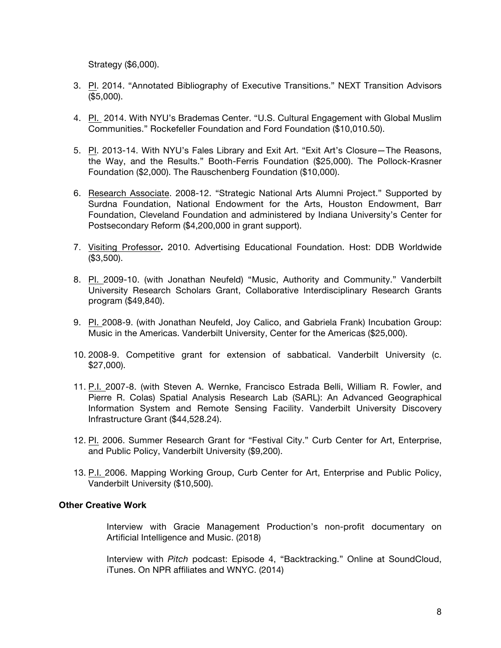Strategy (\$6,000).

- 3. PI. 2014. "Annotated Bibliography of Executive Transitions." NEXT Transition Advisors (\$5,000).
- 4. PI. 2014. With NYU's Brademas Center. "U.S. Cultural Engagement with Global Muslim Communities." Rockefeller Foundation and Ford Foundation (\$10,010.50).
- 5. PI. 2013-14. With NYU's Fales Library and Exit Art. "Exit Art's Closure—The Reasons, the Way, and the Results." Booth-Ferris Foundation (\$25,000). The Pollock-Krasner Foundation (\$2,000). The Rauschenberg Foundation (\$10,000).
- 6. Research Associate. 2008-12. "Strategic National Arts Alumni Project." Supported by Surdna Foundation, National Endowment for the Arts, Houston Endowment, Barr Foundation, Cleveland Foundation and administered by Indiana University's Center for Postsecondary Reform (\$4,200,000 in grant support).
- 7. Visiting Professor**.** 2010. Advertising Educational Foundation. Host: DDB Worldwide (\$3,500).
- 8. PI. 2009-10. (with Jonathan Neufeld) "Music, Authority and Community." Vanderbilt University Research Scholars Grant, Collaborative Interdisciplinary Research Grants program (\$49,840).
- 9. PI. 2008-9. (with Jonathan Neufeld, Joy Calico, and Gabriela Frank) Incubation Group: Music in the Americas. Vanderbilt University, Center for the Americas (\$25,000).
- 10. 2008-9. Competitive grant for extension of sabbatical. Vanderbilt University (c. \$27,000).
- 11. P.I. 2007-8. (with Steven A. Wernke, Francisco Estrada Belli, William R. Fowler, and Pierre R. Colas) Spatial Analysis Research Lab (SARL): An Advanced Geographical Information System and Remote Sensing Facility. Vanderbilt University Discovery Infrastructure Grant (\$44,528.24).
- 12. Pl. 2006. Summer Research Grant for "Festival City." Curb Center for Art, Enterprise, and Public Policy, Vanderbilt University (\$9,200).
- 13. P.I. 2006. Mapping Working Group, Curb Center for Art, Enterprise and Public Policy, Vanderbilt University (\$10,500).

### **Other Creative Work**

Interview with Gracie Management Production's non-profit documentary on Artificial Intelligence and Music. (2018)

Interview with *Pitch* podcast: Episode 4, "Backtracking." Online at SoundCloud, iTunes. On NPR affiliates and WNYC. (2014)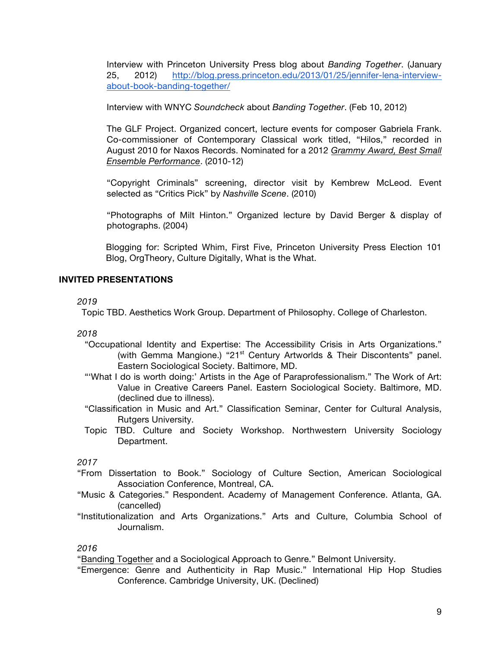Interview with Princeton University Press blog about *Banding Together*. (January 25, 2012) [http://blog.press.princeton.edu/2013/01/25/jennifer-lena-interview](http://blog.press.princeton.edu/2013/01/25/jennifer-lena-interview-about-book-banding-together/)[about-book-banding-together/](http://blog.press.princeton.edu/2013/01/25/jennifer-lena-interview-about-book-banding-together/)

Interview with WNYC *Soundcheck* about *Banding Together*. (Feb 10, 2012)

The GLF Project. Organized concert, lecture events for composer Gabriela Frank. Co-commissioner of Contemporary Classical work titled, "Hilos," recorded in August 2010 for Naxos Records. Nominated for a 2012 *Grammy Award, Best Small Ensemble Performance*. (2010-12)

"Copyright Criminals" screening, director visit by Kembrew McLeod. Event selected as "Critics Pick" by *Nashville Scene*. (2010)

"Photographs of Milt Hinton." Organized lecture by David Berger & display of photographs. (2004)

Blogging for: Scripted Whim, First Five, Princeton University Press Election 101 Blog, OrgTheory, Culture Digitally, What is the What.

# **INVITED PRESENTATIONS**

### *2019*

Topic TBD. Aesthetics Work Group. Department of Philosophy. College of Charleston.

*2018*

- "Occupational Identity and Expertise: The Accessibility Crisis in Arts Organizations." (with Gemma Mangione.) "21<sup>st</sup> Century Artworlds & Their Discontents" panel. Eastern Sociological Society. Baltimore, MD.
- "'What I do is worth doing:' Artists in the Age of Paraprofessionalism." The Work of Art: Value in Creative Careers Panel. Eastern Sociological Society. Baltimore, MD. (declined due to illness).
- "Classification in Music and Art." Classification Seminar, Center for Cultural Analysis, Rutgers University.
- Topic TBD. Culture and Society Workshop. Northwestern University Sociology Department.

*2017*

- "From Dissertation to Book." Sociology of Culture Section, American Sociological Association Conference, Montreal, CA.
- "Music & Categories." Respondent. Academy of Management Conference. Atlanta, GA. (cancelled)
- "Institutionalization and Arts Organizations." Arts and Culture, Columbia School of Journalism.

### *2016*

"Banding Together and a Sociological Approach to Genre." Belmont University.

"Emergence: Genre and Authenticity in Rap Music." International Hip Hop Studies Conference. Cambridge University, UK. (Declined)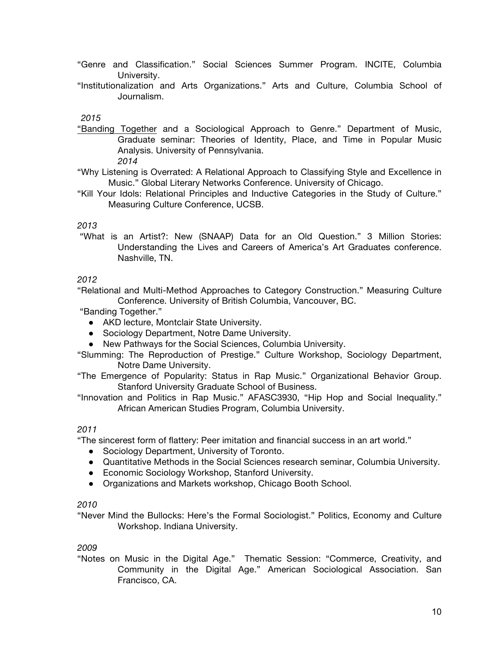- "Genre and Classification." Social Sciences Summer Program. INCITE, Columbia University.
- "Institutionalization and Arts Organizations." Arts and Culture, Columbia School of Journalism.

### *2015*

"Banding Together and a Sociological Approach to Genre." Department of Music, Graduate seminar: Theories of Identity, Place, and Time in Popular Music Analysis. University of Pennsylvania.

*2014*

- "Why Listening is Overrated: A Relational Approach to Classifying Style and Excellence in Music." Global Literary Networks Conference. University of Chicago.
- "Kill Your Idols: Relational Principles and Inductive Categories in the Study of Culture." Measuring Culture Conference, UCSB.

#### *2013*

"What is an Artist?: New (SNAAP) Data for an Old Question." 3 Million Stories: Understanding the Lives and Careers of America's Art Graduates conference. Nashville, TN.

### *2012*

"Relational and Multi-Method Approaches to Category Construction." Measuring Culture Conference. University of British Columbia, Vancouver, BC.

"Banding Together."

- AKD lecture, Montclair State University.
- Sociology Department, Notre Dame University.
- New Pathways for the Social Sciences, Columbia University.

"Slumming: The Reproduction of Prestige." Culture Workshop, Sociology Department, Notre Dame University.

"The Emergence of Popularity: Status in Rap Music." Organizational Behavior Group. Stanford University Graduate School of Business.

"Innovation and Politics in Rap Music." AFASC3930, "Hip Hop and Social Inequality." African American Studies Program, Columbia University.

#### *2011*

"The sincerest form of flattery: Peer imitation and financial success in an art world."

- Sociology Department, University of Toronto.
- Quantitative Methods in the Social Sciences research seminar, Columbia University.
- Economic Sociology Workshop, Stanford University.
- Organizations and Markets workshop, Chicago Booth School.

#### *2010*

"Never Mind the Bullocks: Here's the Formal Sociologist." Politics, Economy and Culture Workshop. Indiana University.

#### *2009*

"Notes on Music in the Digital Age." Thematic Session: "Commerce, Creativity, and Community in the Digital Age." American Sociological Association. San Francisco, CA.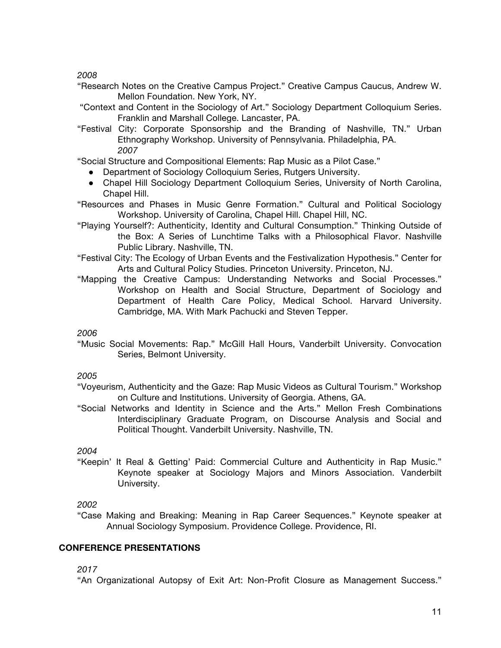*2008* 

- "Research Notes on the Creative Campus Project." Creative Campus Caucus, Andrew W. Mellon Foundation. New York, NY.
- "Context and Content in the Sociology of Art." Sociology Department Colloquium Series. Franklin and Marshall College. Lancaster, PA.
- "Festival City: Corporate Sponsorship and the Branding of Nashville, TN." Urban Ethnography Workshop. University of Pennsylvania. Philadelphia, PA. *2007*

"Social Structure and Compositional Elements: Rap Music as a Pilot Case."

- Department of Sociology Colloquium Series, Rutgers University.
- Chapel Hill Sociology Department Colloquium Series, University of North Carolina, Chapel Hill.
- "Resources and Phases in Music Genre Formation." Cultural and Political Sociology Workshop. University of Carolina, Chapel Hill. Chapel Hill, NC.
- "Playing Yourself?: Authenticity, Identity and Cultural Consumption." Thinking Outside of the Box: A Series of Lunchtime Talks with a Philosophical Flavor. Nashville Public Library. Nashville, TN.
- "Festival City: The Ecology of Urban Events and the Festivalization Hypothesis." Center for Arts and Cultural Policy Studies. Princeton University. Princeton, NJ.
- "Mapping the Creative Campus: Understanding Networks and Social Processes." Workshop on Health and Social Structure, Department of Sociology and Department of Health Care Policy, Medical School. Harvard University. Cambridge, MA. With Mark Pachucki and Steven Tepper.

# *2006*

"Music Social Movements: Rap." McGill Hall Hours, Vanderbilt University. Convocation Series, Belmont University.

# *2005*

- "Voyeurism, Authenticity and the Gaze: Rap Music Videos as Cultural Tourism." Workshop on Culture and Institutions. University of Georgia. Athens, GA.
- "Social Networks and Identity in Science and the Arts." Mellon Fresh Combinations Interdisciplinary Graduate Program, on Discourse Analysis and Social and Political Thought. Vanderbilt University. Nashville, TN.

# *2004*

"Keepin' It Real & Getting' Paid: Commercial Culture and Authenticity in Rap Music." Keynote speaker at Sociology Majors and Minors Association. Vanderbilt University.

# *2002*

"Case Making and Breaking: Meaning in Rap Career Sequences." Keynote speaker at Annual Sociology Symposium. Providence College. Providence, RI.

# **CONFERENCE PRESENTATIONS**

*2017*

"An Organizational Autopsy of Exit Art: Non-Profit Closure as Management Success."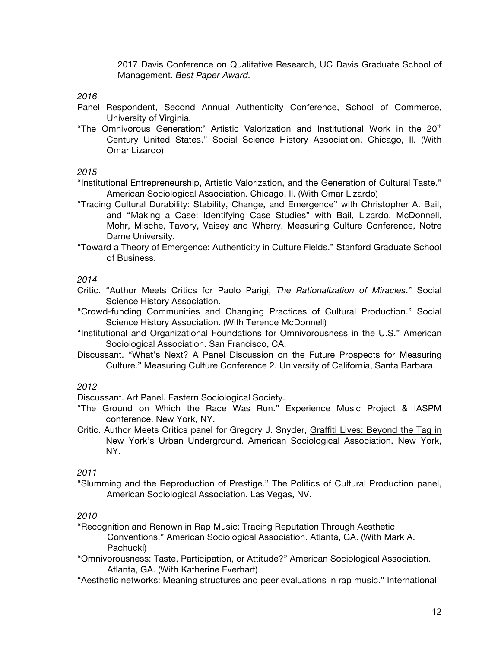2017 Davis Conference on Qualitative Research, UC Davis Graduate School of Management. *Best Paper Award.*

*2016*

- Panel Respondent, Second Annual Authenticity Conference, School of Commerce, University of Virginia.
- "The Omnivorous Generation:' Artistic Valorization and Institutional Work in the 20<sup>th</sup> Century United States." Social Science History Association. Chicago, Il. (With Omar Lizardo)

*2015*

"Institutional Entrepreneurship, Artistic Valorization, and the Generation of Cultural Taste." American Sociological Association. Chicago, Il. (With Omar Lizardo)

- "Tracing Cultural Durability: Stability, Change, and Emergence" with Christopher A. Bail, and "Making a Case: Identifying Case Studies" with Bail, Lizardo, McDonnell, Mohr, Mische, Tavory, Vaisey and Wherry. Measuring Culture Conference, Notre Dame University.
- "Toward a Theory of Emergence: Authenticity in Culture Fields." Stanford Graduate School of Business.

*2014*

- Critic. "Author Meets Critics for Paolo Parigi, *The Rationalization of Miracles*." Social Science History Association.
- "Crowd-funding Communities and Changing Practices of Cultural Production." Social Science History Association. (With Terence McDonnell)
- "Institutional and Organizational Foundations for Omnivorousness in the U.S." American Sociological Association. San Francisco, CA.
- Discussant. "What's Next? A Panel Discussion on the Future Prospects for Measuring Culture." Measuring Culture Conference 2. University of California, Santa Barbara.

*2012*

Discussant. Art Panel. Eastern Sociological Society.

- "The Ground on Which the Race Was Run." Experience Music Project & IASPM conference. New York, NY.
- Critic. Author Meets Critics panel for Gregory J. Snyder, Graffiti Lives: Beyond the Tag in New York's Urban Underground. American Sociological Association. New York, NY.

*2011*

"Slumming and the Reproduction of Prestige." The Politics of Cultural Production panel, American Sociological Association. Las Vegas, NV.

# *2010*

"Recognition and Renown in Rap Music: Tracing Reputation Through Aesthetic Conventions." American Sociological Association. Atlanta, GA. (With Mark A. Pachucki)

- "Omnivorousness: Taste, Participation, or Attitude?" American Sociological Association. Atlanta, GA. (With Katherine Everhart)
- "Aesthetic networks: Meaning structures and peer evaluations in rap music." International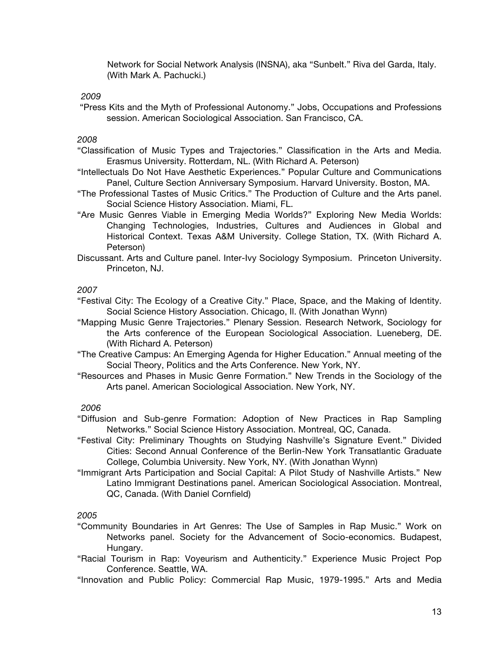Network for Social Network Analysis (INSNA), aka "Sunbelt." Riva del Garda, Italy. (With Mark A. Pachucki.)

#### *2009*

"Press Kits and the Myth of Professional Autonomy." Jobs, Occupations and Professions session. American Sociological Association. San Francisco, CA.

### *2008*

- "Classification of Music Types and Trajectories." Classification in the Arts and Media. Erasmus University. Rotterdam, NL. (With Richard A. Peterson)
- "Intellectuals Do Not Have Aesthetic Experiences." Popular Culture and Communications Panel, Culture Section Anniversary Symposium. Harvard University. Boston, MA.
- "The Professional Tastes of Music Critics." The Production of Culture and the Arts panel. Social Science History Association. Miami, FL.
- "Are Music Genres Viable in Emerging Media Worlds?" Exploring New Media Worlds: Changing Technologies, Industries, Cultures and Audiences in Global and Historical Context. Texas A&M University. College Station, TX. (With Richard A. Peterson)
- Discussant. Arts and Culture panel. Inter-Ivy Sociology Symposium. Princeton University. Princeton, NJ.

#### *2007*

- "Festival City: The Ecology of a Creative City." Place, Space, and the Making of Identity. Social Science History Association. Chicago, Il. (With Jonathan Wynn)
- "Mapping Music Genre Trajectories." Plenary Session. Research Network, Sociology for the Arts conference of the European Sociological Association. Lueneberg, DE. (With Richard A. Peterson)
- "The Creative Campus: An Emerging Agenda for Higher Education." Annual meeting of the Social Theory, Politics and the Arts Conference. New York, NY.
- "Resources and Phases in Music Genre Formation." New Trends in the Sociology of the Arts panel. American Sociological Association. New York, NY.

#### *2006*

- "Diffusion and Sub-genre Formation: Adoption of New Practices in Rap Sampling Networks." Social Science History Association. Montreal, QC, Canada.
- "Festival City: Preliminary Thoughts on Studying Nashville's Signature Event." Divided Cities: Second Annual Conference of the Berlin-New York Transatlantic Graduate College, Columbia University. New York, NY. (With Jonathan Wynn)
- "Immigrant Arts Participation and Social Capital: A Pilot Study of Nashville Artists." New Latino Immigrant Destinations panel. American Sociological Association. Montreal, QC, Canada. (With Daniel Cornfield)

#### *2005*

- "Community Boundaries in Art Genres: The Use of Samples in Rap Music." Work on Networks panel. Society for the Advancement of Socio-economics. Budapest, Hungary.
- "Racial Tourism in Rap: Voyeurism and Authenticity." Experience Music Project Pop Conference. Seattle, WA.
- "Innovation and Public Policy: Commercial Rap Music, 1979-1995." Arts and Media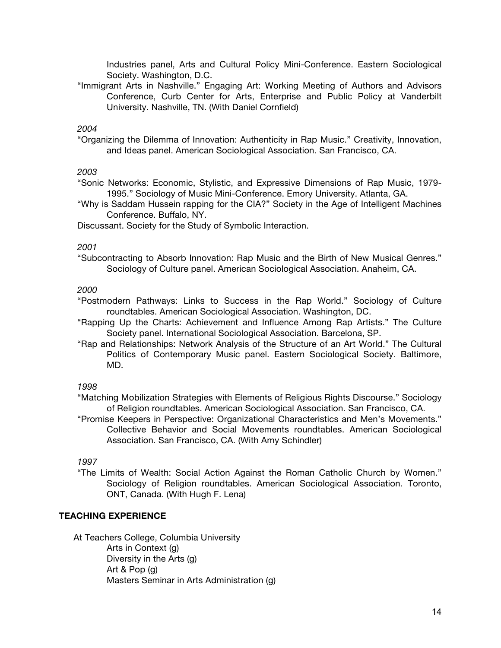Industries panel, Arts and Cultural Policy Mini-Conference. Eastern Sociological Society. Washington, D.C.

"Immigrant Arts in Nashville." Engaging Art: Working Meeting of Authors and Advisors Conference, Curb Center for Arts, Enterprise and Public Policy at Vanderbilt University. Nashville, TN. (With Daniel Cornfield)

#### *2004*

"Organizing the Dilemma of Innovation: Authenticity in Rap Music." Creativity, Innovation, and Ideas panel. American Sociological Association. San Francisco, CA.

#### *2003*

"Sonic Networks: Economic, Stylistic, and Expressive Dimensions of Rap Music, 1979- 1995." Sociology of Music Mini-Conference. Emory University. Atlanta, GA.

"Why is Saddam Hussein rapping for the CIA?" Society in the Age of Intelligent Machines Conference. Buffalo, NY.

Discussant. Society for the Study of Symbolic Interaction.

#### *2001*

"Subcontracting to Absorb Innovation: Rap Music and the Birth of New Musical Genres." Sociology of Culture panel. American Sociological Association. Anaheim, CA.

#### *2000*

"Postmodern Pathways: Links to Success in the Rap World." Sociology of Culture roundtables. American Sociological Association. Washington, DC.

- "Rapping Up the Charts: Achievement and Influence Among Rap Artists." The Culture Society panel. International Sociological Association. Barcelona, SP.
- "Rap and Relationships: Network Analysis of the Structure of an Art World." The Cultural Politics of Contemporary Music panel. Eastern Sociological Society. Baltimore, MD.

#### *1998*

"Matching Mobilization Strategies with Elements of Religious Rights Discourse." Sociology of Religion roundtables. American Sociological Association. San Francisco, CA.

"Promise Keepers in Perspective: Organizational Characteristics and Men's Movements." Collective Behavior and Social Movements roundtables. American Sociological Association. San Francisco, CA. (With Amy Schindler)

#### *1997*

"The Limits of Wealth: Social Action Against the Roman Catholic Church by Women." Sociology of Religion roundtables. American Sociological Association. Toronto, ONT, Canada. (With Hugh F. Lena)

#### **TEACHING EXPERIENCE**

At Teachers College, Columbia University Arts in Context (g) Diversity in the Arts (g) Art & Pop (g) Masters Seminar in Arts Administration (g)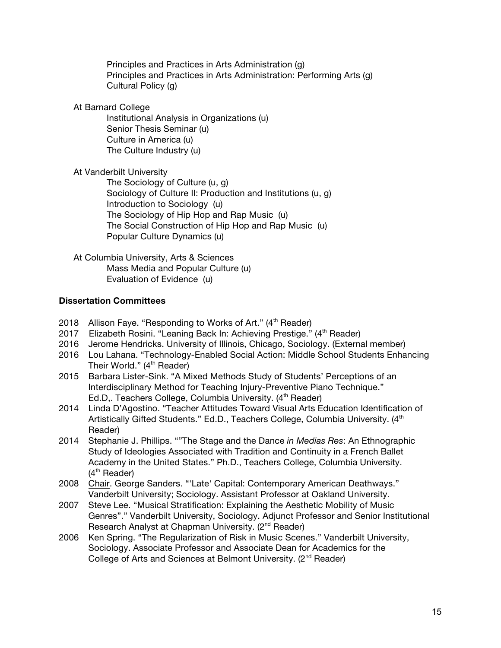Principles and Practices in Arts Administration (g) Principles and Practices in Arts Administration: Performing Arts (g) Cultural Policy (g)

At Barnard College

Institutional Analysis in Organizations (u) Senior Thesis Seminar (u) Culture in America (u) The Culture Industry (u)

At Vanderbilt University

The Sociology of Culture (u, g) Sociology of Culture II: Production and Institutions (u, g) Introduction to Sociology (u) The Sociology of Hip Hop and Rap Music (u) The Social Construction of Hip Hop and Rap Music (u) Popular Culture Dynamics (u)

At Columbia University, Arts & Sciences Mass Media and Popular Culture (u) Evaluation of Evidence (u)

# **Dissertation Committees**

- 2018 Allison Faye. "Responding to Works of Art." (4<sup>th</sup> Reader)
- 2017 Elizabeth Rosini. "Leaning Back In: Achieving Prestige." (4<sup>th</sup> Reader)
- 2016 Jerome Hendricks. University of Illinois, Chicago, Sociology. (External member)
- 2016 Lou Lahana. "Technology-Enabled Social Action: Middle School Students Enhancing Their World." (4<sup>th</sup> Reader)
- 2015 Barbara Lister-Sink. "A Mixed Methods Study of Students' Perceptions of an Interdisciplinary Method for Teaching Injury-Preventive Piano Technique." Ed.D.. Teachers College, Columbia University. (4<sup>th</sup> Reader)
- 2014 Linda D'Agostino. "Teacher Attitudes Toward Visual Arts Education Identification of Artistically Gifted Students." Ed.D., Teachers College, Columbia University. (4<sup>th</sup> Reader)
- 2014 Stephanie J. Phillips. ""The Stage and the Dance *in Medias Res*: An Ethnographic Study of Ideologies Associated with Tradition and Continuity in a French Ballet Academy in the United States." Ph.D., Teachers College, Columbia University. (4<sup>th</sup> Reader)
- 2008 Chair. George Sanders. "'Late' Capital: Contemporary American Deathways." Vanderbilt University; Sociology. Assistant Professor at Oakland University.
- 2007 Steve Lee. "Musical Stratification: Explaining the Aesthetic Mobility of Music Genres"." Vanderbilt University, Sociology. Adjunct Professor and Senior Institutional Research Analyst at Chapman University. (2<sup>nd</sup> Reader)
- 2006 Ken Spring. "The Regularization of Risk in Music Scenes." Vanderbilt University, Sociology. Associate Professor and Associate Dean for Academics for the College of Arts and Sciences at Belmont University. (2<sup>nd</sup> Reader)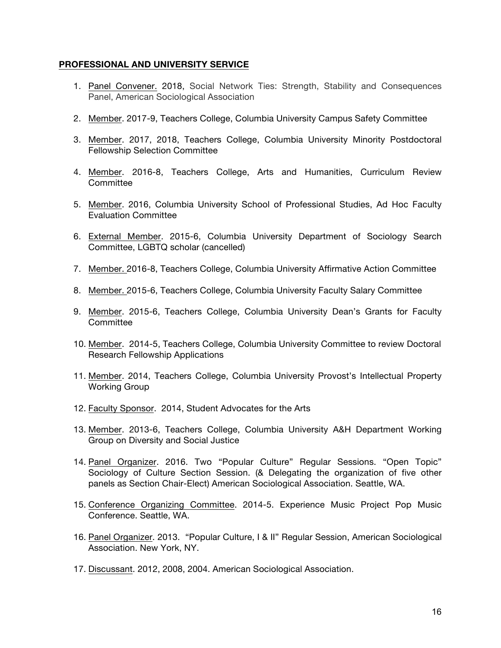### **PROFESSIONAL AND UNIVERSITY SERVICE**

- 1. Panel Convener. 2018, Social Network Ties: Strength, Stability and Consequences Panel, American Sociological Association
- 2. Member. 2017-9, Teachers College, Columbia University Campus Safety Committee
- 3. Member. 2017, 2018, Teachers College, Columbia University Minority Postdoctoral Fellowship Selection Committee
- 4. Member. 2016-8, Teachers College, Arts and Humanities, Curriculum Review **Committee**
- 5. Member. 2016, Columbia University School of Professional Studies, Ad Hoc Faculty Evaluation Committee
- 6. External Member. 2015-6, Columbia University Department of Sociology Search Committee, LGBTQ scholar (cancelled)
- 7. Member. 2016-8, Teachers College, Columbia University Affirmative Action Committee
- 8. Member. 2015-6, Teachers College, Columbia University Faculty Salary Committee
- 9. Member. 2015-6, Teachers College, Columbia University Dean's Grants for Faculty **Committee**
- 10. Member. 2014-5, Teachers College, Columbia University Committee to review Doctoral Research Fellowship Applications
- 11. Member. 2014, Teachers College, Columbia University Provost's Intellectual Property Working Group
- 12. Faculty Sponsor. 2014, Student Advocates for the Arts
- 13. Member. 2013-6, Teachers College, Columbia University A&H Department Working Group on Diversity and Social Justice
- 14. Panel Organizer. 2016. Two "Popular Culture" Regular Sessions. "Open Topic" Sociology of Culture Section Session. (& Delegating the organization of five other panels as Section Chair-Elect) American Sociological Association. Seattle, WA.
- 15. Conference Organizing Committee. 2014-5. Experience Music Project Pop Music Conference. Seattle, WA.
- 16. Panel Organizer. 2013. "Popular Culture, I & II" Regular Session, American Sociological Association. New York, NY.
- 17. Discussant. 2012, 2008, 2004. American Sociological Association.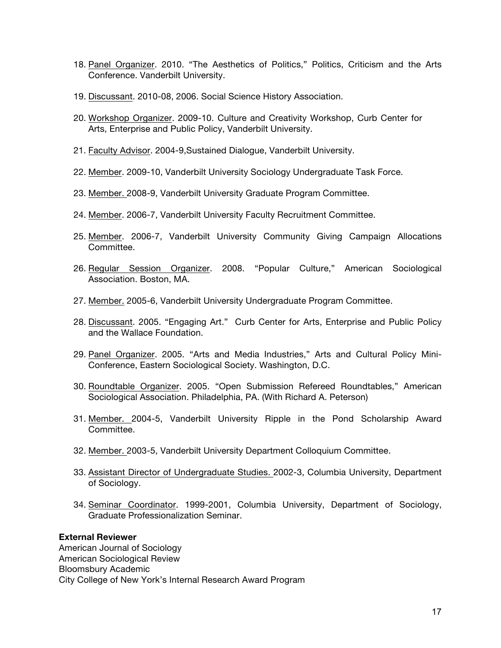- 18. Panel Organizer. 2010. "The Aesthetics of Politics," Politics, Criticism and the Arts Conference. Vanderbilt University.
- 19. Discussant. 2010-08, 2006. Social Science History Association.
- 20. Workshop Organizer. 2009-10. Culture and Creativity Workshop, Curb Center for Arts, Enterprise and Public Policy, Vanderbilt University.
- 21. Faculty Advisor. 2004-9,Sustained Dialogue, Vanderbilt University.
- 22. Member. 2009-10, Vanderbilt University Sociology Undergraduate Task Force.
- 23. Member. 2008-9, Vanderbilt University Graduate Program Committee.
- 24. Member. 2006-7, Vanderbilt University Faculty Recruitment Committee.
- 25. Member. 2006-7, Vanderbilt University Community Giving Campaign Allocations Committee.
- 26. Regular Session Organizer. 2008. "Popular Culture," American Sociological Association. Boston, MA.
- 27. Member. 2005-6, Vanderbilt University Undergraduate Program Committee.
- 28. Discussant. 2005. "Engaging Art." Curb Center for Arts, Enterprise and Public Policy and the Wallace Foundation.
- 29. Panel Organizer. 2005. "Arts and Media Industries," Arts and Cultural Policy Mini-Conference, Eastern Sociological Society. Washington, D.C.
- 30. Roundtable Organizer. 2005. "Open Submission Refereed Roundtables," American Sociological Association. Philadelphia, PA. (With Richard A. Peterson)
- 31. Member. 2004-5, Vanderbilt University Ripple in the Pond Scholarship Award Committee.
- 32. Member. 2003-5, Vanderbilt University Department Colloquium Committee.
- 33. Assistant Director of Undergraduate Studies. 2002-3, Columbia University, Department of Sociology.
- 34. Seminar Coordinator. 1999-2001, Columbia University, Department of Sociology, Graduate Professionalization Seminar.

### **External Reviewer**

American Journal of Sociology American Sociological Review Bloomsbury Academic City College of New York's Internal Research Award Program